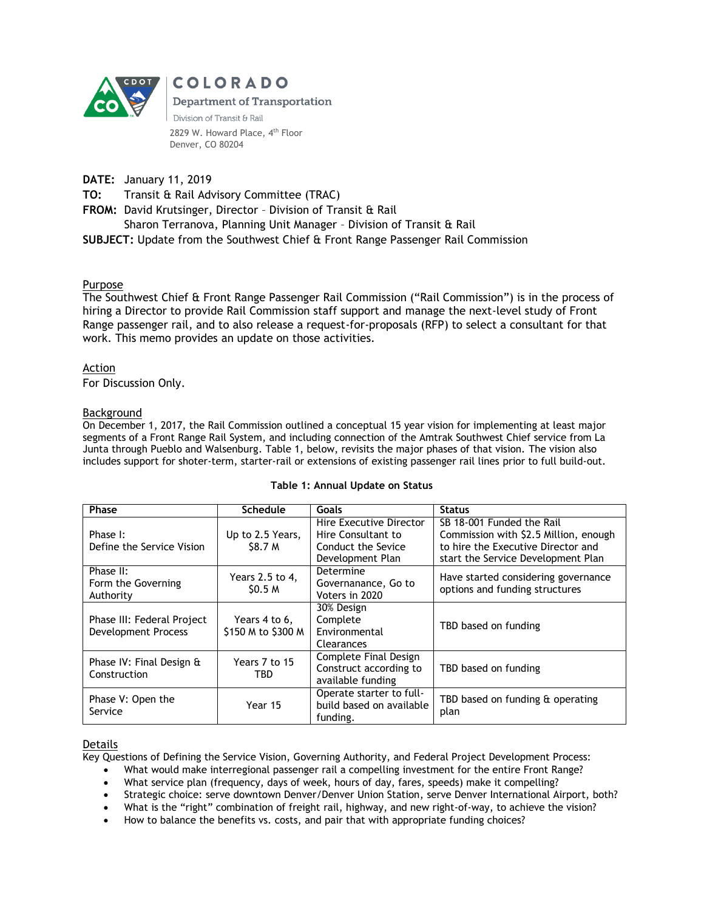

COLORADO **Department of Transportation** Division of Transit & Rail 2829 W. Howard Place, 4<sup>th</sup> Floor Denver, CO 80204

**DATE:** January 11, 2019

**TO:** Transit & Rail Advisory Committee (TRAC)

**FROM:** David Krutsinger, Director – Division of Transit & Rail

Sharon Terranova, Planning Unit Manager – Division of Transit & Rail

**SUBJECT:** Update from the Southwest Chief & Front Range Passenger Rail Commission

## Purpose

The Southwest Chief & Front Range Passenger Rail Commission ("Rail Commission") is in the process of hiring a Director to provide Rail Commission staff support and manage the next-level study of Front Range passenger rail, and to also release a request-for-proposals (RFP) to select a consultant for that work. This memo provides an update on those activities.

## Action

For Discussion Only.

## Background

On December 1, 2017, the Rail Commission outlined a conceptual 15 year vision for implementing at least major segments of a Front Range Rail System, and including connection of the Amtrak Southwest Chief service from La Junta through Pueblo and Walsenburg. Table 1, below, revisits the major phases of that vision. The vision also includes support for shoter-term, starter-rail or extensions of existing passenger rail lines prior to full build-out.

| Phase                                                    | <b>Schedule</b>                       | <b>Goals</b>                                                                            | <b>Status</b>                                                                                                                                  |
|----------------------------------------------------------|---------------------------------------|-----------------------------------------------------------------------------------------|------------------------------------------------------------------------------------------------------------------------------------------------|
| Phase I:<br>Define the Service Vision                    | Up to 2.5 Years,<br><b>S8.7 M</b>     | Hire Executive Director<br>Hire Consultant to<br>Conduct the Sevice<br>Development Plan | SB 18-001 Funded the Rail<br>Commission with \$2.5 Million, enough<br>to hire the Executive Director and<br>start the Service Development Plan |
| Phase II:<br>Form the Governing<br>Authority             | Years 2.5 to 4,<br>\$0.5 <sub>M</sub> | Determine<br>Governanance, Go to<br>Voters in 2020                                      | Have started considering governance<br>options and funding structures                                                                          |
| Phase III: Federal Project<br><b>Development Process</b> | Years 4 to 6,<br>\$150 M to \$300 M   | 30% Design<br>Complete<br>Environmental<br>Clearances                                   | TBD based on funding                                                                                                                           |
| Phase IV: Final Design &<br>Construction                 | Years 7 to 15<br>TBD                  | Complete Final Design<br>Construct according to<br>available funding                    | TBD based on funding                                                                                                                           |
| Phase V: Open the<br>Service                             | Year 15                               | Operate starter to full-<br>build based on available<br>funding.                        | TBD based on funding & operating<br>plan                                                                                                       |

#### **Table 1: Annual Update on Status**

#### Details

Key Questions of Defining the Service Vision, Governing Authority, and Federal Project Development Process:

What would make interregional passenger rail a compelling investment for the entire Front Range?

- What service plan (frequency, days of week, hours of day, fares, speeds) make it compelling?
- Strategic choice: serve downtown Denver/Denver Union Station, serve Denver International Airport, both?
- What is the "right" combination of freight rail, highway, and new right-of-way, to achieve the vision?
- How to balance the benefits vs. costs, and pair that with appropriate funding choices?